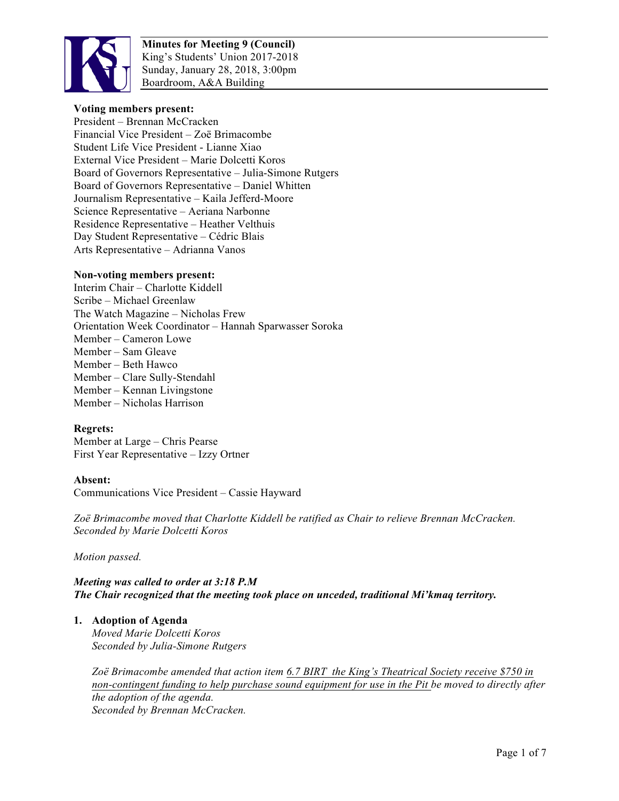

#### **Voting members present:**

President – Brennan McCracken Financial Vice President – Zoë Brimacombe Student Life Vice President - Lianne Xiao External Vice President – Marie Dolcetti Koros Board of Governors Representative – Julia-Simone Rutgers Board of Governors Representative – Daniel Whitten Journalism Representative – Kaila Jefferd-Moore Science Representative – Aeriana Narbonne Residence Representative – Heather Velthuis Day Student Representative – Cédric Blais Arts Representative – Adrianna Vanos

#### **Non-voting members present:**

Interim Chair – Charlotte Kiddell Scribe – Michael Greenlaw The Watch Magazine – Nicholas Frew Orientation Week Coordinator – Hannah Sparwasser Soroka Member – Cameron Lowe Member – Sam Gleave Member – Beth Hawco Member – Clare Sully-Stendahl Member – Kennan Livingstone Member – Nicholas Harrison

#### **Regrets:**

Member at Large – Chris Pearse First Year Representative – Izzy Ortner

#### **Absent:**

Communications Vice President – Cassie Hayward

*Zoë Brimacombe moved that Charlotte Kiddell be ratified as Chair to relieve Brennan McCracken. Seconded by Marie Dolcetti Koros*

*Motion passed.*

# *Meeting was called to order at 3:18 P.M The Chair recognized that the meeting took place on unceded, traditional Mi'kmaq territory.*

#### **1. Adoption of Agenda**

*Moved Marie Dolcetti Koros Seconded by Julia-Simone Rutgers*

*Zoë Brimacombe amended that action item 6.7 BIRT the King's Theatrical Society receive \$750 in non-contingent funding to help purchase sound equipment for use in the Pit be moved to directly after the adoption of the agenda. Seconded by Brennan McCracken.*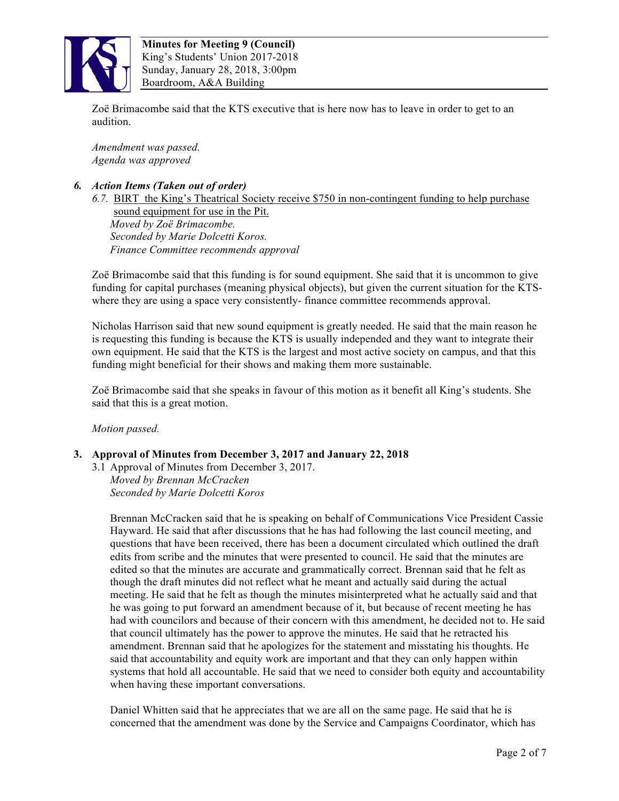

Zoë Brimacombe said that the KTS executive that is here now has to leave in order to get to an audition.

*Amendment was passed. Agenda was approved*

#### *6. Action Items (Taken out of order)*

*6.7.* BIRT the King's Theatrical Society receive \$750 in non-contingent funding to help purchase sound equipment for use in the Pit. *Moved by Zoë Brimacombe. Seconded by Marie Dolcetti Koros. Finance Committee recommends approval*

Zoë Brimacombe said that this funding is for sound equipment. She said that it is uncommon to give funding for capital purchases (meaning physical objects), but given the current situation for the KTSwhere they are using a space very consistently- finance committee recommends approval.

Nicholas Harrison said that new sound equipment is greatly needed. He said that the main reason he is requesting this funding is because the KTS is usually independed and they want to integrate their own equipment. He said that the KTS is the largest and most active society on campus, and that this funding might beneficial for their shows and making them more sustainable.

Zoë Brimacombe said that she speaks in favour of this motion as it benefit all King's students. She said that this is a great motion.

*Motion passed.*

#### **3. Approval of Minutes from December 3, 2017 and January 22, 2018**

3.1 Approval of Minutes from December 3, 2017. *Moved by Brennan McCracken Seconded by Marie Dolcetti Koros*

Brennan McCracken said that he is speaking on behalf of Communications Vice President Cassie Hayward. He said that after discussions that he has had following the last council meeting, and questions that have been received, there has been a document circulated which outlined the draft edits from scribe and the minutes that were presented to council. He said that the minutes are edited so that the minutes are accurate and grammatically correct. Brennan said that he felt as though the draft minutes did not reflect what he meant and actually said during the actual meeting. He said that he felt as though the minutes misinterpreted what he actually said and that he was going to put forward an amendment because of it, but because of recent meeting he has had with councilors and because of their concern with this amendment, he decided not to. He said that council ultimately has the power to approve the minutes. He said that he retracted his amendment. Brennan said that he apologizes for the statement and misstating his thoughts. He said that accountability and equity work are important and that they can only happen within systems that hold all accountable. He said that we need to consider both equity and accountability when having these important conversations.

Daniel Whitten said that he appreciates that we are all on the same page. He said that he is concerned that the amendment was done by the Service and Campaigns Coordinator, which has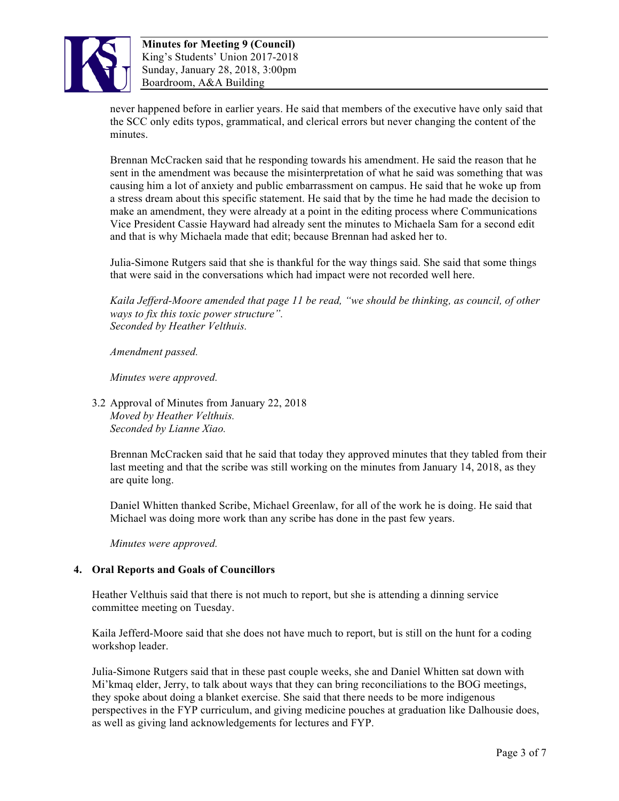

never happened before in earlier years. He said that members of the executive have only said that the SCC only edits typos, grammatical, and clerical errors but never changing the content of the minutes.

Brennan McCracken said that he responding towards his amendment. He said the reason that he sent in the amendment was because the misinterpretation of what he said was something that was causing him a lot of anxiety and public embarrassment on campus. He said that he woke up from a stress dream about this specific statement. He said that by the time he had made the decision to make an amendment, they were already at a point in the editing process where Communications Vice President Cassie Hayward had already sent the minutes to Michaela Sam for a second edit and that is why Michaela made that edit; because Brennan had asked her to.

Julia-Simone Rutgers said that she is thankful for the way things said. She said that some things that were said in the conversations which had impact were not recorded well here.

*Kaila Jefferd-Moore amended that page 11 be read, "we should be thinking, as council, of other ways to fix this toxic power structure". Seconded by Heather Velthuis.*

*Amendment passed.*

*Minutes were approved.*

3.2 Approval of Minutes from January 22, 2018 *Moved by Heather Velthuis. Seconded by Lianne Xiao.*

Brennan McCracken said that he said that today they approved minutes that they tabled from their last meeting and that the scribe was still working on the minutes from January 14, 2018, as they are quite long.

Daniel Whitten thanked Scribe, Michael Greenlaw, for all of the work he is doing. He said that Michael was doing more work than any scribe has done in the past few years.

*Minutes were approved.*

#### **4. Oral Reports and Goals of Councillors**

Heather Velthuis said that there is not much to report, but she is attending a dinning service committee meeting on Tuesday.

Kaila Jefferd-Moore said that she does not have much to report, but is still on the hunt for a coding workshop leader.

Julia-Simone Rutgers said that in these past couple weeks, she and Daniel Whitten sat down with Mi'kmaq elder, Jerry, to talk about ways that they can bring reconciliations to the BOG meetings, they spoke about doing a blanket exercise. She said that there needs to be more indigenous perspectives in the FYP curriculum, and giving medicine pouches at graduation like Dalhousie does, as well as giving land acknowledgements for lectures and FYP.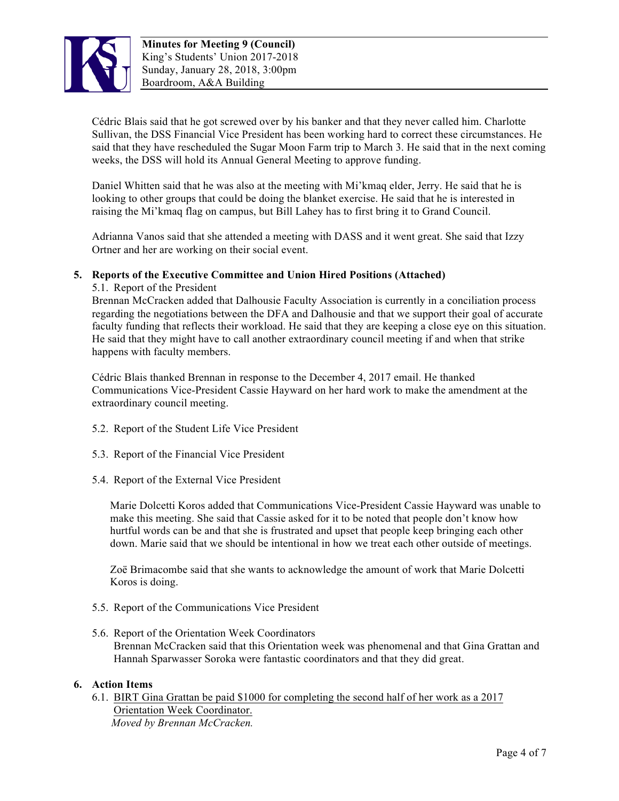

Cédric Blais said that he got screwed over by his banker and that they never called him. Charlotte Sullivan, the DSS Financial Vice President has been working hard to correct these circumstances. He said that they have rescheduled the Sugar Moon Farm trip to March 3. He said that in the next coming weeks, the DSS will hold its Annual General Meeting to approve funding.

Daniel Whitten said that he was also at the meeting with Mi'kmaq elder, Jerry. He said that he is looking to other groups that could be doing the blanket exercise. He said that he is interested in raising the Mi'kmaq flag on campus, but Bill Lahey has to first bring it to Grand Council.

Adrianna Vanos said that she attended a meeting with DASS and it went great. She said that Izzy Ortner and her are working on their social event.

# **5. Reports of the Executive Committee and Union Hired Positions (Attached)**

5.1. Report of the President Brennan McCracken added that Dalhousie Faculty Association is currently in a conciliation process regarding the negotiations between the DFA and Dalhousie and that we support their goal of accurate faculty funding that reflects their workload. He said that they are keeping a close eye on this situation. He said that they might have to call another extraordinary council meeting if and when that strike happens with faculty members.

Cédric Blais thanked Brennan in response to the December 4, 2017 email. He thanked Communications Vice-President Cassie Hayward on her hard work to make the amendment at the extraordinary council meeting.

- 5.2. Report of the Student Life Vice President
- 5.3. Report of the Financial Vice President
- 5.4. Report of the External Vice President

Marie Dolcetti Koros added that Communications Vice-President Cassie Hayward was unable to make this meeting. She said that Cassie asked for it to be noted that people don't know how hurtful words can be and that she is frustrated and upset that people keep bringing each other down. Marie said that we should be intentional in how we treat each other outside of meetings.

Zoë Brimacombe said that she wants to acknowledge the amount of work that Marie Dolcetti Koros is doing.

- 5.5. Report of the Communications Vice President
- 5.6. Report of the Orientation Week Coordinators Brennan McCracken said that this Orientation week was phenomenal and that Gina Grattan and Hannah Sparwasser Soroka were fantastic coordinators and that they did great.

# **6. Action Items**

6.1. BIRT Gina Grattan be paid \$1000 for completing the second half of her work as a 2017 Orientation Week Coordinator.  *Moved by Brennan McCracken.*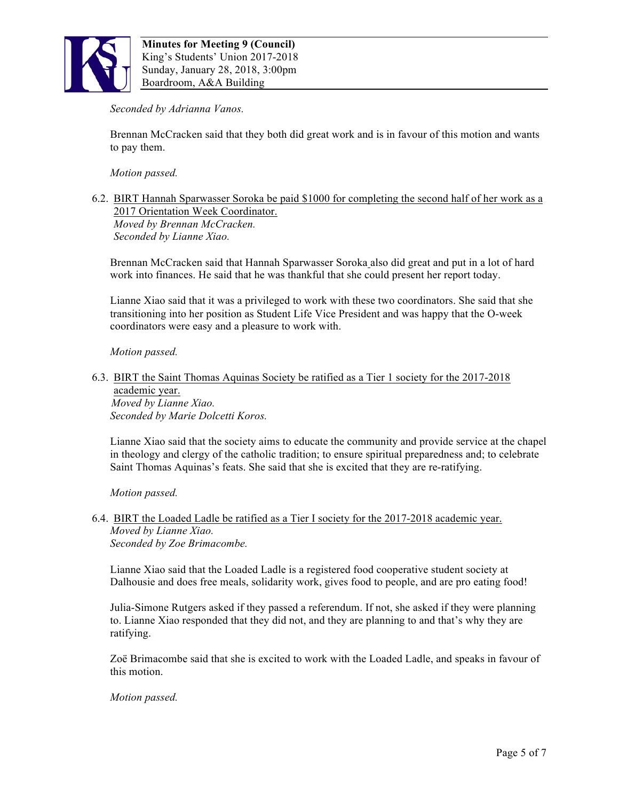

### *Seconded by Adrianna Vanos.*

Brennan McCracken said that they both did great work and is in favour of this motion and wants to pay them.

*Motion passed.*

6.2. BIRT Hannah Sparwasser Soroka be paid \$1000 for completing the second half of her work as a 2017 Orientation Week Coordinator. *Moved by Brennan McCracken. Seconded by Lianne Xiao.*

Brennan McCracken said that Hannah Sparwasser Soroka also did great and put in a lot of hard work into finances. He said that he was thankful that she could present her report today.

Lianne Xiao said that it was a privileged to work with these two coordinators. She said that she transitioning into her position as Student Life Vice President and was happy that the O-week coordinators were easy and a pleasure to work with.

*Motion passed.* 

6.3. BIRT the Saint Thomas Aquinas Society be ratified as a Tier 1 society for the 2017-2018 academic year.  *Moved by Lianne Xiao.*

*Seconded by Marie Dolcetti Koros.*

Lianne Xiao said that the society aims to educate the community and provide service at the chapel in theology and clergy of the catholic tradition; to ensure spiritual preparedness and; to celebrate Saint Thomas Aquinas's feats. She said that she is excited that they are re-ratifying.

*Motion passed.* 

6.4. BIRT the Loaded Ladle be ratified as a Tier I society for the 2017-2018 academic year. *Moved by Lianne Xiao. Seconded by Zoe Brimacombe.*

Lianne Xiao said that the Loaded Ladle is a registered food cooperative student society at Dalhousie and does free meals, solidarity work, gives food to people, and are pro eating food!

Julia-Simone Rutgers asked if they passed a referendum. If not, she asked if they were planning to. Lianne Xiao responded that they did not, and they are planning to and that's why they are ratifying.

Zoë Brimacombe said that she is excited to work with the Loaded Ladle, and speaks in favour of this motion.

#### *Motion passed.*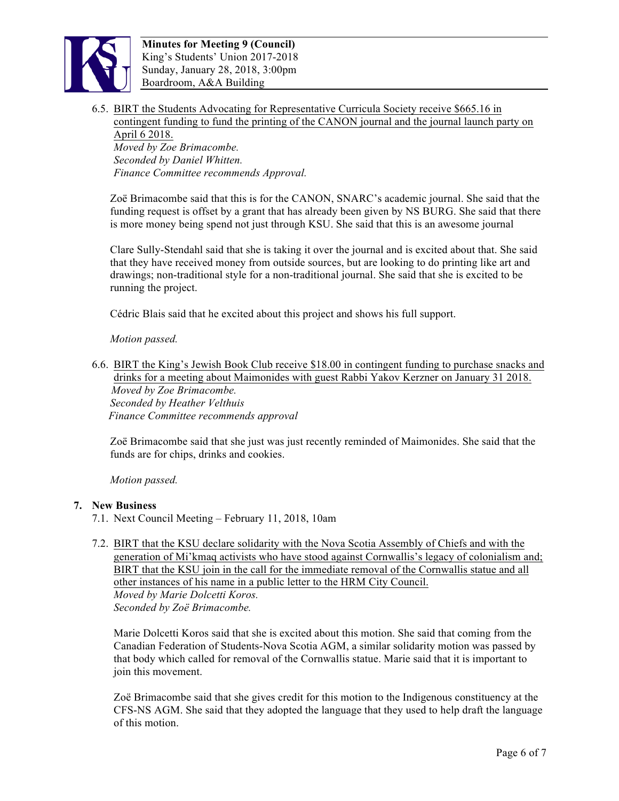

6.5. BIRT the Students Advocating for Representative Curricula Society receive \$665.16 in contingent funding to fund the printing of the CANON journal and the journal launch party on

April 6 2018. *Moved by Zoe Brimacombe. Seconded by Daniel Whitten. Finance Committee recommends Approval.*

Zoë Brimacombe said that this is for the CANON, SNARC's academic journal. She said that the funding request is offset by a grant that has already been given by NS BURG. She said that there is more money being spend not just through KSU. She said that this is an awesome journal

Clare Sully-Stendahl said that she is taking it over the journal and is excited about that. She said that they have received money from outside sources, but are looking to do printing like art and drawings; non-traditional style for a non-traditional journal. She said that she is excited to be running the project.

Cédric Blais said that he excited about this project and shows his full support.

#### *Motion passed.*

6.6. BIRT the King's Jewish Book Club receive \$18.00 in contingent funding to purchase snacks and drinks for a meeting about Maimonides with guest Rabbi Yakov Kerzner on January 31 2018.  *Moved by Zoe Brimacombe. Seconded by Heather Velthuis Finance Committee recommends approval*

Zoë Brimacombe said that she just was just recently reminded of Maimonides. She said that the funds are for chips, drinks and cookies.

*Motion passed.* 

#### **7. New Business**

- 7.1. Next Council Meeting February 11, 2018, 10am
- 7.2. BIRT that the KSU declare solidarity with the Nova Scotia Assembly of Chiefs and with the generation of Mi'kmaq activists who have stood against Cornwallis's legacy of colonialism and; BIRT that the KSU join in the call for the immediate removal of the Cornwallis statue and all other instances of his name in a public letter to the HRM City Council. *Moved by Marie Dolcetti Koros. Seconded by Zoë Brimacombe.*

Marie Dolcetti Koros said that she is excited about this motion. She said that coming from the Canadian Federation of Students-Nova Scotia AGM, a similar solidarity motion was passed by that body which called for removal of the Cornwallis statue. Marie said that it is important to join this movement.

Zoë Brimacombe said that she gives credit for this motion to the Indigenous constituency at the CFS-NS AGM. She said that they adopted the language that they used to help draft the language of this motion.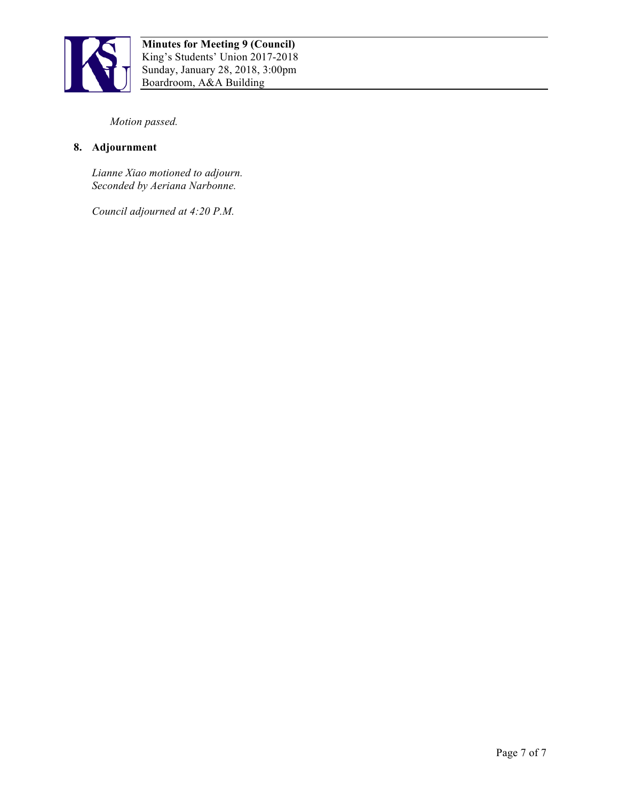

*Motion passed.*

# **8. Adjournment**

*Lianne Xiao motioned to adjourn. Seconded by Aeriana Narbonne.*

*Council adjourned at 4:20 P.M.*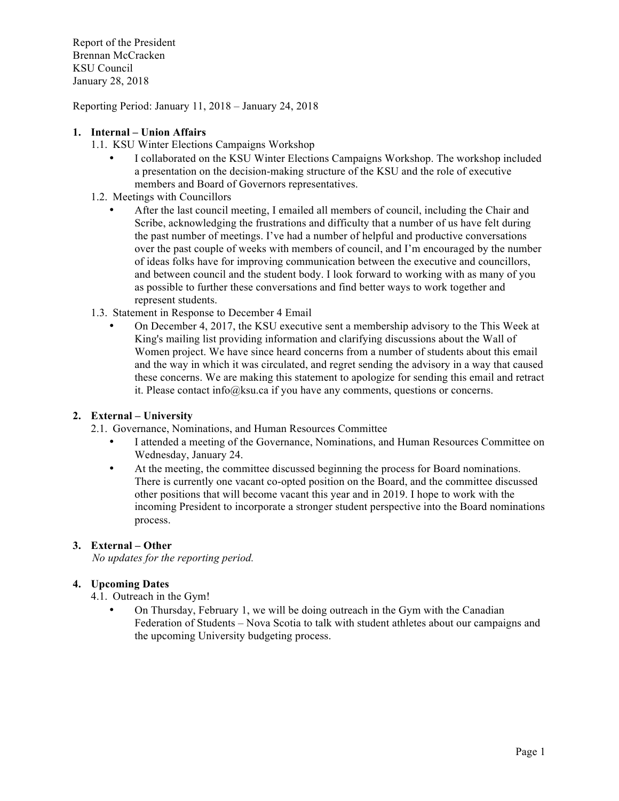Report of the President Brennan McCracken KSU Council January 28, 2018

Reporting Period: January 11, 2018 – January 24, 2018

### **1. Internal – Union Affairs**

- 1.1. KSU Winter Elections Campaigns Workshop
	- I collaborated on the KSU Winter Elections Campaigns Workshop. The workshop included a presentation on the decision-making structure of the KSU and the role of executive members and Board of Governors representatives.
- 1.2. Meetings with Councillors
	- After the last council meeting, I emailed all members of council, including the Chair and Scribe, acknowledging the frustrations and difficulty that a number of us have felt during the past number of meetings. I've had a number of helpful and productive conversations over the past couple of weeks with members of council, and I'm encouraged by the number of ideas folks have for improving communication between the executive and councillors, and between council and the student body. I look forward to working with as many of you as possible to further these conversations and find better ways to work together and represent students.
- 1.3. Statement in Response to December 4 Email
	- On December 4, 2017, the KSU executive sent a membership advisory to the This Week at King's mailing list providing information and clarifying discussions about the Wall of Women project. We have since heard concerns from a number of students about this email and the way in which it was circulated, and regret sending the advisory in a way that caused these concerns. We are making this statement to apologize for sending this email and retract it. Please contact info@ksu.ca if you have any comments, questions or concerns.

#### **2. External – University**

- 2.1. Governance, Nominations, and Human Resources Committee
	- I attended a meeting of the Governance, Nominations, and Human Resources Committee on Wednesday, January 24.
	- At the meeting, the committee discussed beginning the process for Board nominations. There is currently one vacant co-opted position on the Board, and the committee discussed other positions that will become vacant this year and in 2019. I hope to work with the incoming President to incorporate a stronger student perspective into the Board nominations process.

#### **3. External – Other**

 *No updates for the reporting period.* 

#### **4. Upcoming Dates**

- 4.1. Outreach in the Gym!
	- On Thursday, February 1, we will be doing outreach in the Gym with the Canadian Federation of Students – Nova Scotia to talk with student athletes about our campaigns and the upcoming University budgeting process.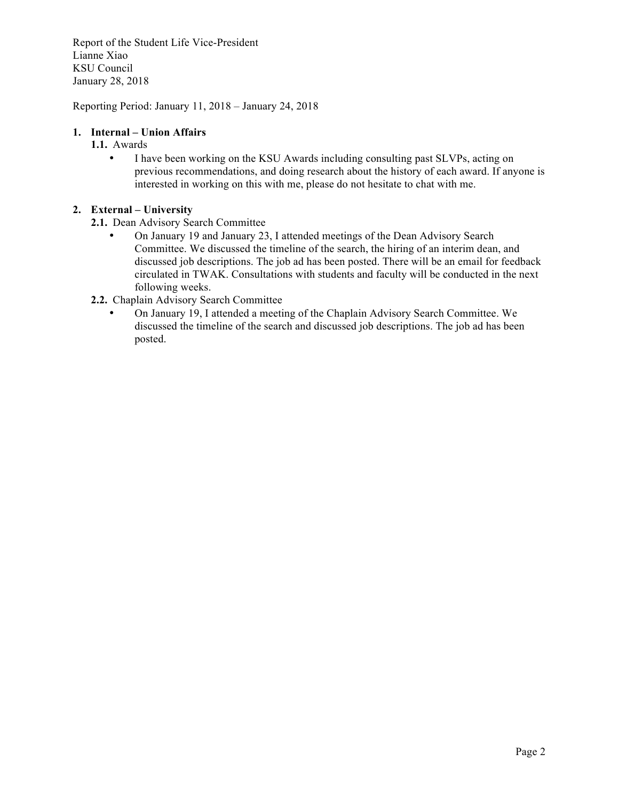Report of the Student Life Vice-President Lianne Xiao KSU Council January 28, 2018

Reporting Period: January 11, 2018 – January 24, 2018

# **1. Internal – Union Affairs**

- **1.1.** Awards
	- I have been working on the KSU Awards including consulting past SLVPs, acting on previous recommendations, and doing research about the history of each award. If anyone is interested in working on this with me, please do not hesitate to chat with me.

# **2. External – University**

- **2.1.** Dean Advisory Search Committee
	- On January 19 and January 23, I attended meetings of the Dean Advisory Search Committee. We discussed the timeline of the search, the hiring of an interim dean, and discussed job descriptions. The job ad has been posted. There will be an email for feedback circulated in TWAK. Consultations with students and faculty will be conducted in the next following weeks.
- **2.2.** Chaplain Advisory Search Committee
	- On January 19, I attended a meeting of the Chaplain Advisory Search Committee. We discussed the timeline of the search and discussed job descriptions. The job ad has been posted.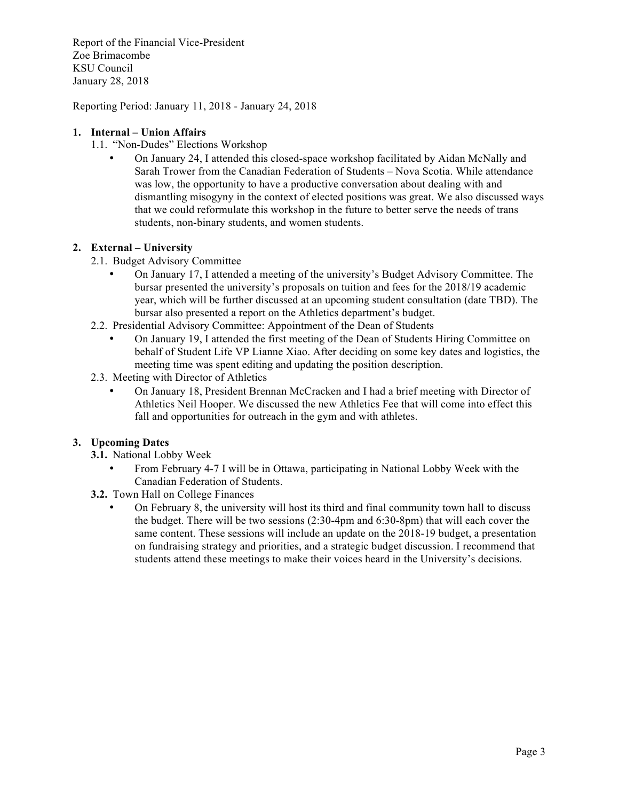Report of the Financial Vice-President Zoe Brimacombe KSU Council January 28, 2018

Reporting Period: January 11, 2018 - January 24, 2018

### **1. Internal – Union Affairs**

- 1.1. "Non-Dudes" Elections Workshop
	- On January 24, I attended this closed-space workshop facilitated by Aidan McNally and Sarah Trower from the Canadian Federation of Students – Nova Scotia. While attendance was low, the opportunity to have a productive conversation about dealing with and dismantling misogyny in the context of elected positions was great. We also discussed ways that we could reformulate this workshop in the future to better serve the needs of trans students, non-binary students, and women students.

# **2. External – University**

- 2.1. Budget Advisory Committee
	- On January 17, I attended a meeting of the university's Budget Advisory Committee. The bursar presented the university's proposals on tuition and fees for the 2018/19 academic year, which will be further discussed at an upcoming student consultation (date TBD). The bursar also presented a report on the Athletics department's budget.
- 2.2. Presidential Advisory Committee: Appointment of the Dean of Students
	- On January 19, I attended the first meeting of the Dean of Students Hiring Committee on behalf of Student Life VP Lianne Xiao. After deciding on some key dates and logistics, the meeting time was spent editing and updating the position description.
- 2.3. Meeting with Director of Athletics
	- On January 18, President Brennan McCracken and I had a brief meeting with Director of Athletics Neil Hooper. We discussed the new Athletics Fee that will come into effect this fall and opportunities for outreach in the gym and with athletes.

# **3. Upcoming Dates**

- **3.1.** National Lobby Week
	- From February 4-7 I will be in Ottawa, participating in National Lobby Week with the Canadian Federation of Students.
- **3.2.** Town Hall on College Finances
	- On February 8, the university will host its third and final community town hall to discuss the budget. There will be two sessions (2:30-4pm and 6:30-8pm) that will each cover the same content. These sessions will include an update on the 2018-19 budget, a presentation on fundraising strategy and priorities, and a strategic budget discussion. I recommend that students attend these meetings to make their voices heard in the University's decisions.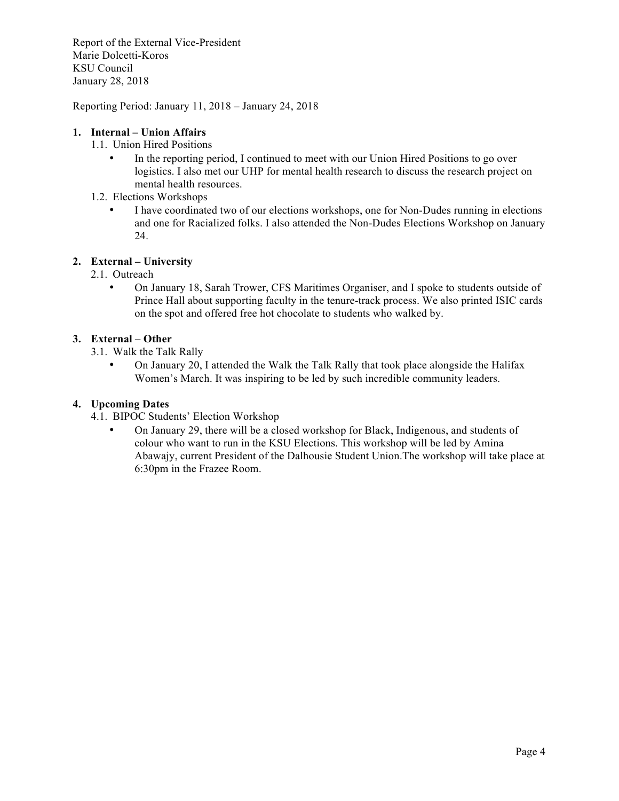Report of the External Vice-President Marie Dolcetti-Koros KSU Council January 28, 2018

Reporting Period: January 11, 2018 – January 24, 2018

### **1. Internal – Union Affairs**

- 1.1. Union Hired Positions
	- In the reporting period, I continued to meet with our Union Hired Positions to go over logistics. I also met our UHP for mental health research to discuss the research project on mental health resources.
- 1.2. Elections Workshops
	- I have coordinated two of our elections workshops, one for Non-Dudes running in elections and one for Racialized folks. I also attended the Non-Dudes Elections Workshop on January 24.

# **2. External – University**

- 2.1. Outreach
	- On January 18, Sarah Trower, CFS Maritimes Organiser, and I spoke to students outside of Prince Hall about supporting faculty in the tenure-track process. We also printed ISIC cards on the spot and offered free hot chocolate to students who walked by.

# **3. External – Other**

- 3.1. Walk the Talk Rally
	- On January 20, I attended the Walk the Talk Rally that took place alongside the Halifax Women's March. It was inspiring to be led by such incredible community leaders.

# **4. Upcoming Dates**

- 4.1. BIPOC Students' Election Workshop
	- On January 29, there will be a closed workshop for Black, Indigenous, and students of colour who want to run in the KSU Elections. This workshop will be led by Amina Abawajy, current President of the Dalhousie Student Union.The workshop will take place at 6:30pm in the Frazee Room.